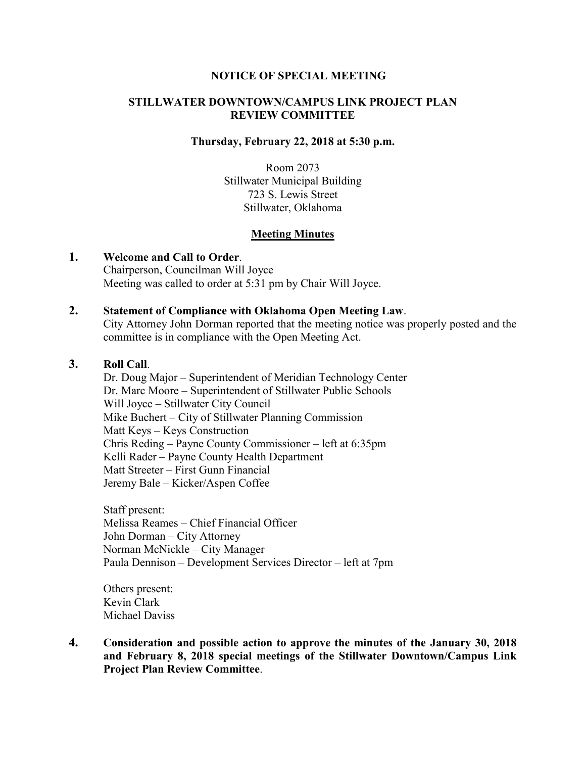## **NOTICE OF SPECIAL MEETING**

## **STILLWATER DOWNTOWN/CAMPUS LINK PROJECT PLAN REVIEW COMMITTEE**

#### **Thursday, February 22, 2018 at 5:30 p.m.**

Room 2073 Stillwater Municipal Building 723 S. Lewis Street Stillwater, Oklahoma

## **Meeting Minutes**

#### **1. Welcome and Call to Order**.

Chairperson, Councilman Will Joyce Meeting was called to order at 5:31 pm by Chair Will Joyce.

#### **2. Statement of Compliance with Oklahoma Open Meeting Law**.

City Attorney John Dorman reported that the meeting notice was properly posted and the committee is in compliance with the Open Meeting Act.

# **3. Roll Call**.

Dr. Doug Major – Superintendent of Meridian Technology Center Dr. Marc Moore – Superintendent of Stillwater Public Schools Will Joyce – Stillwater City Council Mike Buchert – City of Stillwater Planning Commission Matt Keys – Keys Construction Chris Reding – Payne County Commissioner – left at 6:35pm Kelli Rader – Payne County Health Department Matt Streeter – First Gunn Financial Jeremy Bale – Kicker/Aspen Coffee

Staff present: Melissa Reames – Chief Financial Officer John Dorman – City Attorney Norman McNickle – City Manager Paula Dennison – Development Services Director – left at 7pm

Others present: Kevin Clark Michael Daviss

**4. Consideration and possible action to approve the minutes of the January 30, 2018 and February 8, 2018 special meetings of the Stillwater Downtown/Campus Link Project Plan Review Committee**.